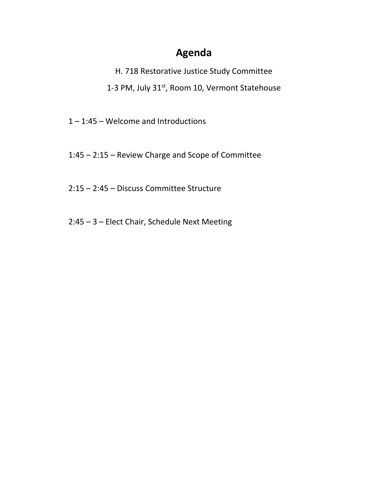H. 718 Restorative Justice Study Committee 1-3 PM, July 31<sup>st</sup>, Room 10, Vermont Statehouse

1 – 1:45 – Welcome and Introductions

1:45 – 2:15 – Review Charge and Scope of Committee

2:15 – 2:45 – Discuss Committee Structure

2:45 – 3 – Elect Chair, Schedule Next Meeting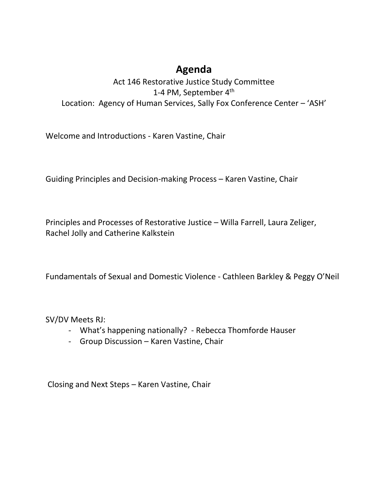### Act 146 Restorative Justice Study Committee 1-4 PM, September 4<sup>th</sup> Location: Agency of Human Services, Sally Fox Conference Center – 'ASH'

Welcome and Introductions - Karen Vastine, Chair

Guiding Principles and Decision-making Process – Karen Vastine, Chair

Principles and Processes of Restorative Justice – Willa Farrell, Laura Zeliger, Rachel Jolly and Catherine Kalkstein

Fundamentals of Sexual and Domestic Violence - Cathleen Barkley & Peggy O'Neil

SV/DV Meets RJ:

- What's happening nationally? Rebecca Thomforde Hauser
- Group Discussion Karen Vastine, Chair

Closing and Next Steps – Karen Vastine, Chair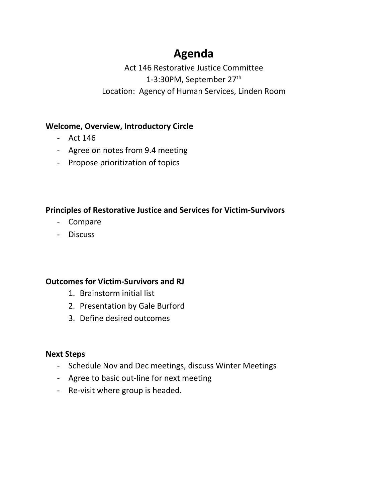Act 146 Restorative Justice Committee 1-3:30PM, September 27<sup>th</sup> Location: Agency of Human Services, Linden Room

#### **Welcome, Overview, Introductory Circle**

- Act 146
- Agree on notes from 9.4 meeting
- Propose prioritization of topics

#### **Principles of Restorative Justice and Services for Victim-Survivors**

- Compare
- Discuss

#### **Outcomes for Victim-Survivors and RJ**

- 1. Brainstorm initial list
- 2. Presentation by Gale Burford
- 3. Define desired outcomes

#### **Next Steps**

- Schedule Nov and Dec meetings, discuss Winter Meetings
- Agree to basic out-line for next meeting
- Re-visit where group is headed.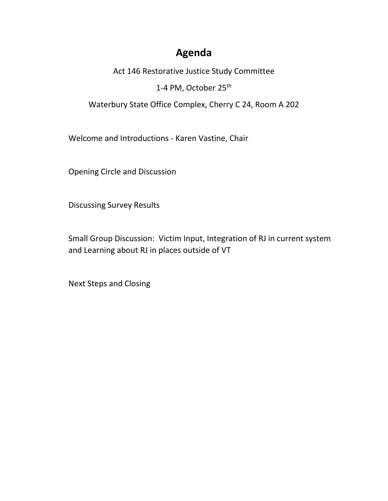Act 146 Restorative Justice Study Committee

1-4 PM, October 25<sup>th</sup>

Waterbury State Office Complex, Cherry C 24, Room A 202

Welcome and Introductions - Karen Vastine, Chair

Opening Circle and Discussion

Discussing Survey Results

Small Group Discussion: Victim Input, Integration of RJ in current system and Learning about RJ in places outside of VT

Next Steps and Closing